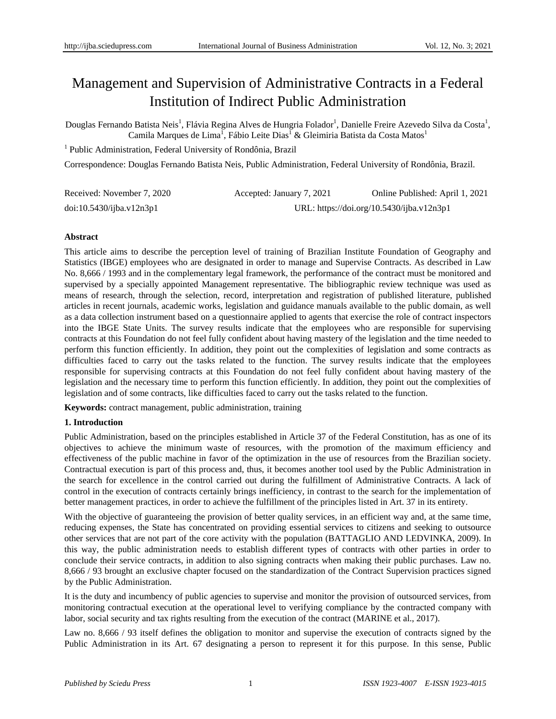# Management and Supervision of Administrative Contracts in a Federal Institution of Indirect Public Administration

Douglas Fernando Batista Neis<sup>1</sup>, Flávia Regina Alves de Hungria Folador<sup>1</sup>, Danielle Freire Azevedo Silva da Costa<sup>1</sup>, Camila Marques de Lima<sup>1</sup>, F abio Leite Dias<sup>1</sup> & Gleimiria Batista da Costa Matos<sup>1</sup>

<sup>1</sup> Public Administration, Federal University of Rondônia, Brazil

Correspondence: Douglas Fernando Batista Neis, Public Administration, Federal University of Rondônia, Brazil.

| Received: November 7, 2020 | Accepted: January 7, 2021                 | Online Published: April 1, 2021 |
|----------------------------|-------------------------------------------|---------------------------------|
| doi:10.5430/ijba.v12n3p1   | URL: https://doi.org/10.5430/ijba.v12n3p1 |                                 |

# **Abstract**

This article aims to describe the perception level of training of Brazilian Institute Foundation of Geography and Statistics (IBGE) employees who are designated in order to manage and Supervise Contracts. As described in Law No. 8,666 / 1993 and in the complementary legal framework, the performance of the contract must be monitored and supervised by a specially appointed Management representative. The bibliographic review technique was used as means of research, through the selection, record, interpretation and registration of published literature, published articles in recent journals, academic works, legislation and guidance manuals available to the public domain, as well as a data collection instrument based on a questionnaire applied to agents that exercise the role of contract inspectors into the IBGE State Units. The survey results indicate that the employees who are responsible for supervising contracts at this Foundation do not feel fully confident about having mastery of the legislation and the time needed to perform this function efficiently. In addition, they point out the complexities of legislation and some contracts as difficulties faced to carry out the tasks related to the function. The survey results indicate that the employees responsible for supervising contracts at this Foundation do not feel fully confident about having mastery of the legislation and the necessary time to perform this function efficiently. In addition, they point out the complexities of legislation and of some contracts, like difficulties faced to carry out the tasks related to the function.

**Keywords:** contract management, public administration, training

# **1. Introduction**

Public Administration, based on the principles established in Article 37 of the Federal Constitution, has as one of its objectives to achieve the minimum waste of resources, with the promotion of the maximum efficiency and effectiveness of the public machine in favor of the optimization in the use of resources from the Brazilian society. Contractual execution is part of this process and, thus, it becomes another tool used by the Public Administration in the search for excellence in the control carried out during the fulfillment of Administrative Contracts. A lack of control in the execution of contracts certainly brings inefficiency, in contrast to the search for the implementation of better management practices, in order to achieve the fulfillment of the principles listed in Art. 37 in its entirety.

With the objective of guaranteeing the provision of better quality services, in an efficient way and, at the same time, reducing expenses, the State has concentrated on providing essential services to citizens and seeking to outsource other services that are not part of the core activity with the population (BATTAGLIO AND LEDVINKA, 2009). In this way, the public administration needs to establish different types of contracts with other parties in order to conclude their service contracts, in addition to also signing contracts when making their public purchases. Law no. 8,666 / 93 brought an exclusive chapter focused on the standardization of the Contract Supervision practices signed by the Public Administration.

It is the duty and incumbency of public agencies to supervise and monitor the provision of outsourced services, from monitoring contractual execution at the operational level to verifying compliance by the contracted company with labor, social security and tax rights resulting from the execution of the contract (MARINE et al., 2017).

Law no. 8,666 / 93 itself defines the obligation to monitor and supervise the execution of contracts signed by the Public Administration in its Art. 67 designating a person to represent it for this purpose. In this sense, Public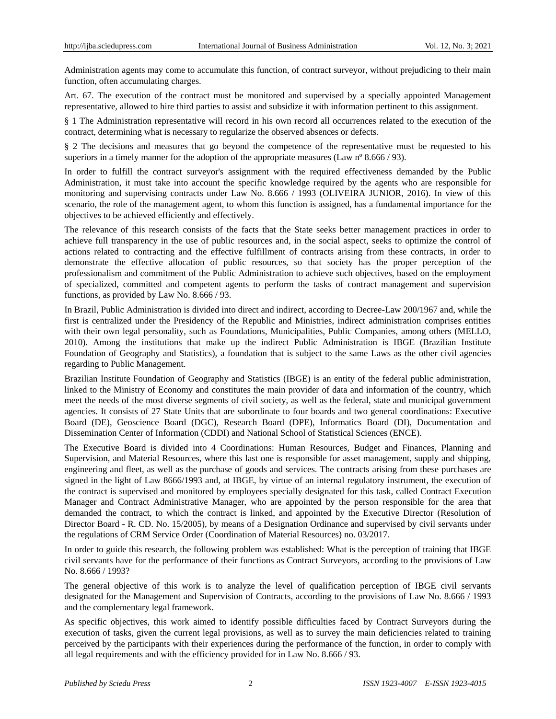Administration agents may come to accumulate this function, of contract surveyor, without prejudicing to their main function, often accumulating charges.

Art. 67. The execution of the contract must be monitored and supervised by a specially appointed Management representative, allowed to hire third parties to assist and subsidize it with information pertinent to this assignment.

§ 1 The Administration representative will record in his own record all occurrences related to the execution of the contract, determining what is necessary to regularize the observed absences or defects.

§ 2 The decisions and measures that go beyond the competence of the representative must be requested to his superiors in a timely manner for the adoption of the appropriate measures (Law n  $\degree$ 8.666 / 93).

In order to fulfill the contract surveyor's assignment with the required effectiveness demanded by the Public Administration, it must take into account the specific knowledge required by the agents who are responsible for monitoring and supervising contracts under Law No. 8.666 / 1993 (OLIVEIRA JUNIOR, 2016). In view of this scenario, the role of the management agent, to whom this function is assigned, has a fundamental importance for the objectives to be achieved efficiently and effectively.

The relevance of this research consists of the facts that the State seeks better management practices in order to achieve full transparency in the use of public resources and, in the social aspect, seeks to optimize the control of actions related to contracting and the effective fulfillment of contracts arising from these contracts, in order to demonstrate the effective allocation of public resources, so that society has the proper perception of the professionalism and commitment of the Public Administration to achieve such objectives, based on the employment of specialized, committed and competent agents to perform the tasks of contract management and supervision functions, as provided by Law No. 8.666 / 93.

In Brazil, Public Administration is divided into direct and indirect, according to Decree-Law 200/1967 and, while the first is centralized under the Presidency of the Republic and Ministries, indirect administration comprises entities with their own legal personality, such as Foundations, Municipalities, Public Companies, among others (MELLO, 2010). Among the institutions that make up the indirect Public Administration is IBGE (Brazilian Institute Foundation of Geography and Statistics), a foundation that is subject to the same Laws as the other civil agencies regarding to Public Management.

Brazilian Institute Foundation of Geography and Statistics (IBGE) is an entity of the federal public administration, linked to the Ministry of Economy and constitutes the main provider of data and information of the country, which meet the needs of the most diverse segments of civil society, as well as the federal, state and municipal government agencies. It consists of 27 State Units that are subordinate to four boards and two general coordinations: Executive Board (DE), Geoscience Board (DGC), Research Board (DPE), Informatics Board (DI), Documentation and Dissemination Center of Information (CDDI) and National School of Statistical Sciences (ENCE).

The Executive Board is divided into 4 Coordinations: Human Resources, Budget and Finances, Planning and Supervision, and Material Resources, where this last one is responsible for asset management, supply and shipping, engineering and fleet, as well as the purchase of goods and services. The contracts arising from these purchases are signed in the light of Law 8666/1993 and, at IBGE, by virtue of an internal regulatory instrument, the execution of the contract is supervised and monitored by employees specially designated for this task, called Contract Execution Manager and Contract Administrative Manager, who are appointed by the person responsible for the area that demanded the contract, to which the contract is linked, and appointed by the Executive Director (Resolution of Director Board - R. CD. No. 15/2005), by means of a Designation Ordinance and supervised by civil servants under the regulations of CRM Service Order (Coordination of Material Resources) no. 03/2017.

In order to guide this research, the following problem was established: What is the perception of training that IBGE civil servants have for the performance of their functions as Contract Surveyors, according to the provisions of Law No. 8.666 / 1993?

The general objective of this work is to analyze the level of qualification perception of IBGE civil servants designated for the Management and Supervision of Contracts, according to the provisions of Law No. 8.666 / 1993 and the complementary legal framework.

As specific objectives, this work aimed to identify possible difficulties faced by Contract Surveyors during the execution of tasks, given the current legal provisions, as well as to survey the main deficiencies related to training perceived by the participants with their experiences during the performance of the function, in order to comply with all legal requirements and with the efficiency provided for in Law No. 8.666 / 93.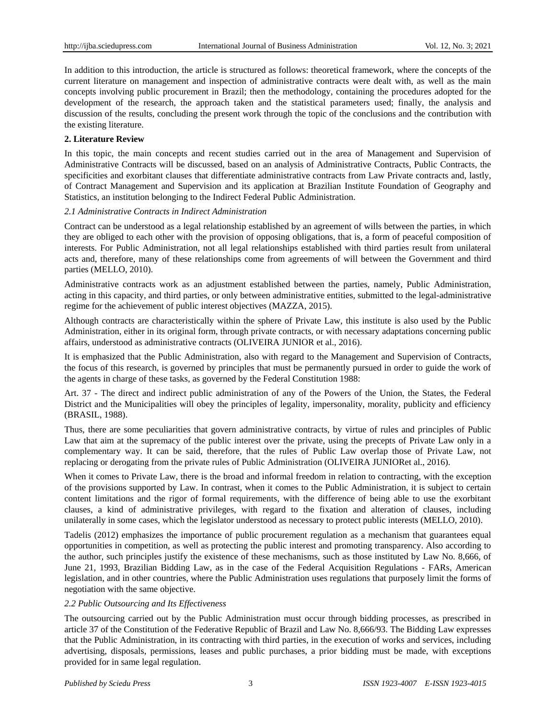In addition to this introduction, the article is structured as follows: theoretical framework, where the concepts of the current literature on management and inspection of administrative contracts were dealt with, as well as the main concepts involving public procurement in Brazil; then the methodology, containing the procedures adopted for the development of the research, the approach taken and the statistical parameters used; finally, the analysis and discussion of the results, concluding the present work through the topic of the conclusions and the contribution with the existing literature.

# **2. Literature Review**

In this topic, the main concepts and recent studies carried out in the area of Management and Supervision of Administrative Contracts will be discussed, based on an analysis of Administrative Contracts, Public Contracts, the specificities and exorbitant clauses that differentiate administrative contracts from Law Private contracts and, lastly, of Contract Management and Supervision and its application at Brazilian Institute Foundation of Geography and Statistics, an institution belonging to the Indirect Federal Public Administration.

# *2.1 Administrative Contracts in Indirect Administration*

Contract can be understood as a legal relationship established by an agreement of wills between the parties, in which they are obliged to each other with the provision of opposing obligations, that is, a form of peaceful composition of interests. For Public Administration, not all legal relationships established with third parties result from unilateral acts and, therefore, many of these relationships come from agreements of will between the Government and third parties (MELLO, 2010).

Administrative contracts work as an adjustment established between the parties, namely, Public Administration, acting in this capacity, and third parties, or only between administrative entities, submitted to the legal-administrative regime for the achievement of public interest objectives (MAZZA, 2015).

Although contracts are characteristically within the sphere of Private Law, this institute is also used by the Public Administration, either in its original form, through private contracts, or with necessary adaptations concerning public affairs, understood as administrative contracts (OLIVEIRA JUNIOR et al., 2016).

It is emphasized that the Public Administration, also with regard to the Management and Supervision of Contracts, the focus of this research, is governed by principles that must be permanently pursued in order to guide the work of the agents in charge of these tasks, as governed by the Federal Constitution 1988:

Art. 37 - The direct and indirect public administration of any of the Powers of the Union, the States, the Federal District and the Municipalities will obey the principles of legality, impersonality, morality, publicity and efficiency (BRASIL, 1988).

Thus, there are some peculiarities that govern administrative contracts, by virtue of rules and principles of Public Law that aim at the supremacy of the public interest over the private, using the precepts of Private Law only in a complementary way. It can be said, therefore, that the rules of Public Law overlap those of Private Law, not replacing or derogating from the private rules of Public Administration (OLIVEIRA JUNIORet al., 2016).

When it comes to Private Law, there is the broad and informal freedom in relation to contracting, with the exception of the provisions supported by Law. In contrast, when it comes to the Public Administration, it is subject to certain content limitations and the rigor of formal requirements, with the difference of being able to use the exorbitant clauses, a kind of administrative privileges, with regard to the fixation and alteration of clauses, including unilaterally in some cases, which the legislator understood as necessary to protect public interests (MELLO, 2010).

Tadelis (2012) emphasizes the importance of public procurement regulation as a mechanism that guarantees equal opportunities in competition, as well as protecting the public interest and promoting transparency. Also according to the author, such principles justify the existence of these mechanisms, such as those instituted by Law No. 8,666, of June 21, 1993, Brazilian Bidding Law, as in the case of the Federal Acquisition Regulations - FARs, American legislation, and in other countries, where the Public Administration uses regulations that purposely limit the forms of negotiation with the same objective.

## *2.2 Public Outsourcing and Its Effectiveness*

The outsourcing carried out by the Public Administration must occur through bidding processes, as prescribed in article 37 of the Constitution of the Federative Republic of Brazil and Law No. 8,666/93. The Bidding Law expresses that the Public Administration, in its contracting with third parties, in the execution of works and services, including advertising, disposals, permissions, leases and public purchases, a prior bidding must be made, with exceptions provided for in same legal regulation.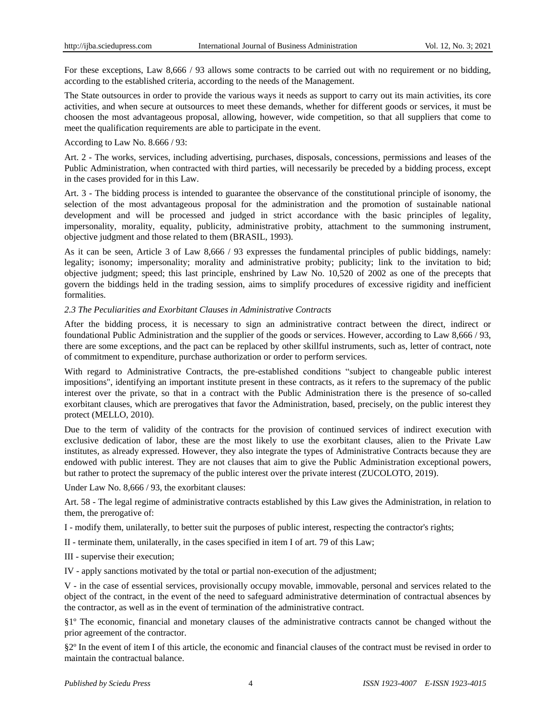For these exceptions, Law 8,666 / 93 allows some contracts to be carried out with no requirement or no bidding, according to the established criteria, according to the needs of the Management.

The State outsources in order to provide the various ways it needs as support to carry out its main activities, its core activities, and when secure at outsources to meet these demands, whether for different goods or services, it must be choosen the most advantageous proposal, allowing, however, wide competition, so that all suppliers that come to meet the qualification requirements are able to participate in the event.

#### According to Law No. 8.666 / 93:

Art. 2 - The works, services, including advertising, purchases, disposals, concessions, permissions and leases of the Public Administration, when contracted with third parties, will necessarily be preceded by a bidding process, except in the cases provided for in this Law.

Art. 3 - The bidding process is intended to guarantee the observance of the constitutional principle of isonomy, the selection of the most advantageous proposal for the administration and the promotion of sustainable national development and will be processed and judged in strict accordance with the basic principles of legality, impersonality, morality, equality, publicity, administrative probity, attachment to the summoning instrument, objective judgment and those related to them (BRASIL, 1993).

As it can be seen, Article 3 of Law 8,666 / 93 expresses the fundamental principles of public biddings, namely: legality; isonomy; impersonality; morality and administrative probity; publicity; link to the invitation to bid; objective judgment; speed; this last principle, enshrined by Law No. 10,520 of 2002 as one of the precepts that govern the biddings held in the trading session, aims to simplify procedures of excessive rigidity and inefficient formalities.

## *2.3 The Peculiarities and Exorbitant Clauses in Administrative Contracts*

After the bidding process, it is necessary to sign an administrative contract between the direct, indirect or foundational Public Administration and the supplier of the goods or services. However, according to Law 8,666 / 93, there are some exceptions, and the pact can be replaced by other skillful instruments, such as, letter of contract, note of commitment to expenditure, purchase authorization or order to perform services.

With regard to Administrative Contracts, the pre-established conditions "subject to changeable public interest impositions", identifying an important institute present in these contracts, as it refers to the supremacy of the public interest over the private, so that in a contract with the Public Administration there is the presence of so-called exorbitant clauses, which are prerogatives that favor the Administration, based, precisely, on the public interest they protect (MELLO, 2010).

Due to the term of validity of the contracts for the provision of continued services of indirect execution with exclusive dedication of labor, these are the most likely to use the exorbitant clauses, alien to the Private Law institutes, as already expressed. However, they also integrate the types of Administrative Contracts because they are endowed with public interest. They are not clauses that aim to give the Public Administration exceptional powers, but rather to protect the supremacy of the public interest over the private interest (ZUCOLOTO, 2019).

Under Law No. 8,666 / 93, the exorbitant clauses:

Art. 58 - The legal regime of administrative contracts established by this Law gives the Administration, in relation to them, the prerogative of:

I - modify them, unilaterally, to better suit the purposes of public interest, respecting the contractor's rights;

II - terminate them, unilaterally, in the cases specified in item I of art. 79 of this Law;

III - supervise their execution;

IV - apply sanctions motivated by the total or partial non-execution of the adjustment;

V - in the case of essential services, provisionally occupy movable, immovable, personal and services related to the object of the contract, in the event of the need to safeguard administrative determination of contractual absences by the contractor, as well as in the event of termination of the administrative contract.

§1º The economic, financial and monetary clauses of the administrative contracts cannot be changed without the prior agreement of the contractor.

§2º In the event of item I of this article, the economic and financial clauses of the contract must be revised in order to maintain the contractual balance.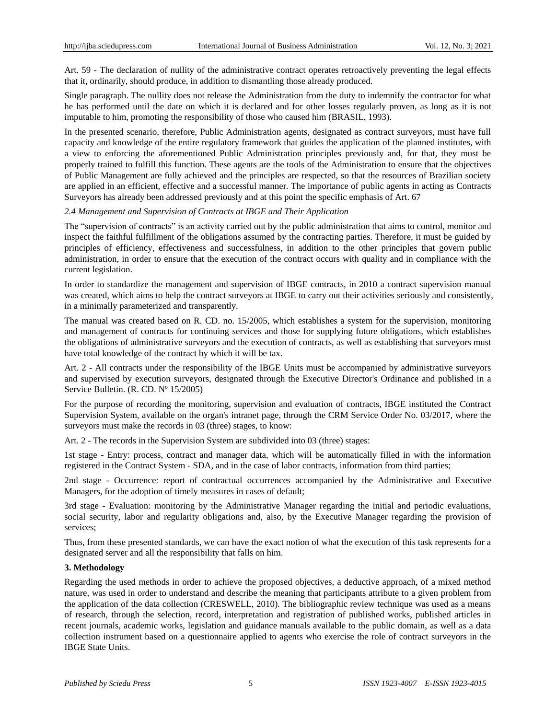Art. 59 - The declaration of nullity of the administrative contract operates retroactively preventing the legal effects that it, ordinarily, should produce, in addition to dismantling those already produced.

Single paragraph. The nullity does not release the Administration from the duty to indemnify the contractor for what he has performed until the date on which it is declared and for other losses regularly proven, as long as it is not imputable to him, promoting the responsibility of those who caused him (BRASIL, 1993).

In the presented scenario, therefore, Public Administration agents, designated as contract surveyors, must have full capacity and knowledge of the entire regulatory framework that guides the application of the planned institutes, with a view to enforcing the aforementioned Public Administration principles previously and, for that, they must be properly trained to fulfill this function. These agents are the tools of the Administration to ensure that the objectives of Public Management are fully achieved and the principles are respected, so that the resources of Brazilian society are applied in an efficient, effective and a successful manner. The importance of public agents in acting as Contracts Surveyors has already been addressed previously and at this point the specific emphasis of Art. 67

## *2.4 Management and Supervision of Contracts at IBGE and Their Application*

The "supervision of contracts" is an activity carried out by the public administration that aims to control, monitor and inspect the faithful fulfillment of the obligations assumed by the contracting parties. Therefore, it must be guided by principles of efficiency, effectiveness and successfulness, in addition to the other principles that govern public administration, in order to ensure that the execution of the contract occurs with quality and in compliance with the current legislation.

In order to standardize the management and supervision of IBGE contracts, in 2010 a contract supervision manual was created, which aims to help the contract surveyors at IBGE to carry out their activities seriously and consistently, in a minimally parameterized and transparently.

The manual was created based on R. CD. no. 15/2005, which establishes a system for the supervision, monitoring and management of contracts for continuing services and those for supplying future obligations, which establishes the obligations of administrative surveyors and the execution of contracts, as well as establishing that surveyors must have total knowledge of the contract by which it will be tax.

Art. 2 - All contracts under the responsibility of the IBGE Units must be accompanied by administrative surveyors and supervised by execution surveyors, designated through the Executive Director's Ordinance and published in a Service Bulletin. (R. CD. Nº15/2005)

For the purpose of recording the monitoring, supervision and evaluation of contracts, IBGE instituted the Contract Supervision System, available on the organ's intranet page, through the CRM Service Order No. 03/2017, where the surveyors must make the records in 03 (three) stages, to know:

Art. 2 - The records in the Supervision System are subdivided into 03 (three) stages:

1st stage - Entry: process, contract and manager data, which will be automatically filled in with the information registered in the Contract System - SDA, and in the case of labor contracts, information from third parties;

2nd stage - Occurrence: report of contractual occurrences accompanied by the Administrative and Executive Managers, for the adoption of timely measures in cases of default;

3rd stage - Evaluation: monitoring by the Administrative Manager regarding the initial and periodic evaluations, social security, labor and regularity obligations and, also, by the Executive Manager regarding the provision of services;

Thus, from these presented standards, we can have the exact notion of what the execution of this task represents for a designated server and all the responsibility that falls on him.

## **3. Methodology**

Regarding the used methods in order to achieve the proposed objectives, a deductive approach, of a mixed method nature, was used in order to understand and describe the meaning that participants attribute to a given problem from the application of the data collection (CRESWELL, 2010). The bibliographic review technique was used as a means of research, through the selection, record, interpretation and registration of published works, published articles in recent journals, academic works, legislation and guidance manuals available to the public domain, as well as a data collection instrument based on a questionnaire applied to agents who exercise the role of contract surveyors in the IBGE State Units.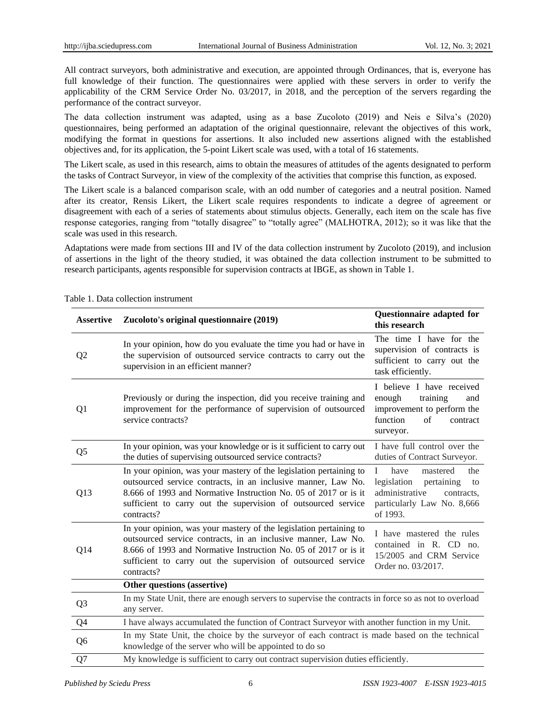All contract surveyors, both administrative and execution, are appointed through Ordinances, that is, everyone has full knowledge of their function. The questionnaires were applied with these servers in order to verify the applicability of the CRM Service Order No. 03/2017, in 2018, and the perception of the servers regarding the performance of the contract surveyor.

The data collection instrument was adapted, using as a base Zucoloto (2019) and Neis e Silva's (2020) questionnaires, being performed an adaptation of the original questionnaire, relevant the objectives of this work, modifying the format in questions for assertions. It also included new assertions aligned with the established objectives and, for its application, the 5-point Likert scale was used, with a total of 16 statements.

The Likert scale, as used in this research, aims to obtain the measures of attitudes of the agents designated to perform the tasks of Contract Surveyor, in view of the complexity of the activities that comprise this function, as exposed.

The Likert scale is a balanced comparison scale, with an odd number of categories and a neutral position. Named after its creator, Rensis Likert, the Likert scale requires respondents to indicate a degree of agreement or disagreement with each of a series of statements about stimulus objects. Generally, each item on the scale has five response categories, ranging from "totally disagree" to "totally agree" (MALHOTRA, 2012); so it was like that the scale was used in this research.

Adaptations were made from sections III and IV of the data collection instrument by Zucoloto (2019), and inclusion of assertions in the light of the theory studied, it was obtained the data collection instrument to be submitted to research participants, agents responsible for supervision contracts at IBGE, as shown in Table 1.

| <b>Assertive</b> | Zucoloto's original questionnaire (2019)                                                                                                                                                                                                                                              | Questionnaire adapted for<br>this research                                                                                                           |
|------------------|---------------------------------------------------------------------------------------------------------------------------------------------------------------------------------------------------------------------------------------------------------------------------------------|------------------------------------------------------------------------------------------------------------------------------------------------------|
| Q <sub>2</sub>   | In your opinion, how do you evaluate the time you had or have in<br>the supervision of outsourced service contracts to carry out the<br>supervision in an efficient manner?                                                                                                           | The time I have for the<br>supervision of contracts is<br>sufficient to carry out the<br>task efficiently.                                           |
| Q <sub>1</sub>   | Previously or during the inspection, did you receive training and<br>improvement for the performance of supervision of outsourced<br>service contracts?                                                                                                                               | I believe I have received<br>enough<br>training<br>and<br>improvement to perform the<br>function<br>of<br>contract<br>surveyor.                      |
| Q <sub>5</sub>   | In your opinion, was your knowledge or is it sufficient to carry out<br>the duties of supervising outsourced service contracts?                                                                                                                                                       | I have full control over the<br>duties of Contract Surveyor.                                                                                         |
| Q13              | In your opinion, was your mastery of the legislation pertaining to<br>outsourced service contracts, in an inclusive manner, Law No.<br>8.666 of 1993 and Normative Instruction No. 05 of 2017 or is it<br>sufficient to carry out the supervision of outsourced service<br>contracts? | $\mathbf{I}$<br>have<br>mastered<br>the<br>legislation<br>pertaining<br>to<br>administrative<br>contracts,<br>particularly Law No. 8,666<br>of 1993. |
| Q14              | In your opinion, was your mastery of the legislation pertaining to<br>outsourced service contracts, in an inclusive manner, Law No.<br>8.666 of 1993 and Normative Instruction No. 05 of 2017 or is it<br>sufficient to carry out the supervision of outsourced service<br>contracts? | I have mastered the rules<br>contained in R. CD no.<br>15/2005 and CRM Service<br>Order no. 03/2017.                                                 |
|                  | Other questions (assertive)                                                                                                                                                                                                                                                           |                                                                                                                                                      |
| Q <sub>3</sub>   | In my State Unit, there are enough servers to supervise the contracts in force so as not to overload<br>any server.                                                                                                                                                                   |                                                                                                                                                      |
| Q4               | I have always accumulated the function of Contract Surveyor with another function in my Unit.                                                                                                                                                                                         |                                                                                                                                                      |
| Q <sub>6</sub>   | In my State Unit, the choice by the surveyor of each contract is made based on the technical<br>knowledge of the server who will be appointed to do so                                                                                                                                |                                                                                                                                                      |
| Q7               | My knowledge is sufficient to carry out contract supervision duties efficiently.                                                                                                                                                                                                      |                                                                                                                                                      |

Table 1. Data collection instrument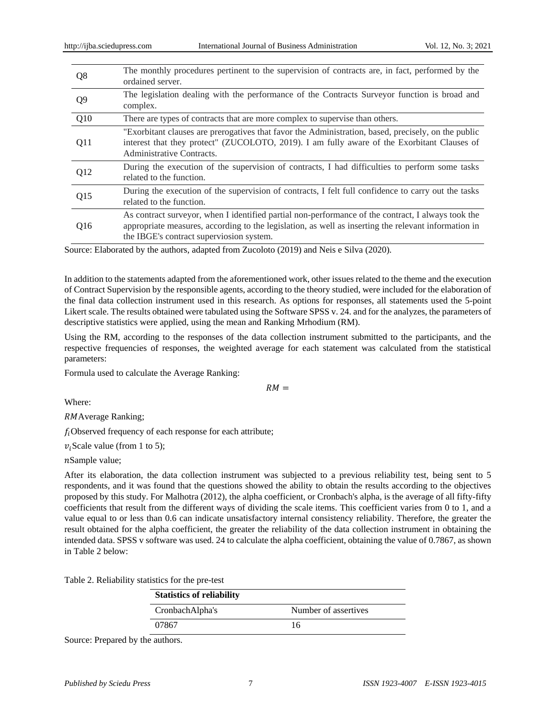| Q8             | The monthly procedures pertinent to the supervision of contracts are, in fact, performed by the<br>ordained server.                                                                                                                                    |
|----------------|--------------------------------------------------------------------------------------------------------------------------------------------------------------------------------------------------------------------------------------------------------|
| Q <sub>9</sub> | The legislation dealing with the performance of the Contracts Surveyor function is broad and<br>complex.                                                                                                                                               |
| Q10            | There are types of contracts that are more complex to supervise than others.                                                                                                                                                                           |
| Q11            | "Exorbitant clauses are prerogatives that favor the Administration, based, precisely, on the public<br>interest that they protect" (ZUCOLOTO, 2019). I am fully aware of the Exorbitant Clauses of<br>Administrative Contracts.                        |
| Q12            | During the execution of the supervision of contracts, I had difficulties to perform some tasks<br>related to the function.                                                                                                                             |
| Q15            | During the execution of the supervision of contracts, I felt full confidence to carry out the tasks<br>related to the function.                                                                                                                        |
| Q16            | As contract surveyor, when I identified partial non-performance of the contract, I always took the<br>appropriate measures, according to the legislation, as well as inserting the relevant information in<br>the IBGE's contract superviosion system. |

Source: Elaborated by the authors, adapted from Zucoloto (2019) and Neis e Silva (2020).

In addition to the statements adapted from the aforementioned work, other issues related to the theme and the execution of Contract Supervision by the responsible agents, according to the theory studied, were included for the elaboration of the final data collection instrument used in this research. As options for responses, all statements used the 5-point Likert scale. The results obtained were tabulated using the Software SPSS v. 24. and for the analyzes, the parameters of descriptive statistics were applied, using the mean and Ranking Mrhodium (RM).

Using the RM, according to the responses of the data collection instrument submitted to the participants, and the respective frequencies of responses, the weighted average for each statement was calculated from the statistical parameters:

 $RM =$ 

Formula used to calculate the Average Ranking:

RMAverage Ranking;

 $f_i$ Observed frequency of each response for each attribute;

 $v_i$ Scale value (from 1 to 5);

nSample value;

Where:

After its elaboration, the data collection instrument was subjected to a previous reliability test, being sent to 5 respondents, and it was found that the questions showed the ability to obtain the results according to the objectives proposed by this study. For Malhotra (2012), the alpha coefficient, or Cronbach's alpha, is the average of all fifty-fifty coefficients that result from the different ways of dividing the scale items. This coefficient varies from 0 to 1, and a value equal to or less than 0.6 can indicate unsatisfactory internal consistency reliability. Therefore, the greater the result obtained for the alpha coefficient, the greater the reliability of the data collection instrument in obtaining the intended data. SPSS v software was used. 24 to calculate the alpha coefficient, obtaining the value of 0.7867, as shown in Table 2 below:

Table 2. Reliability statistics for the pre-test

| <b>Statistics of reliability</b> |                      |
|----------------------------------|----------------------|
| CronbachAlpha's                  | Number of assertives |
| 07867                            | 16                   |

Source: Prepared by the authors.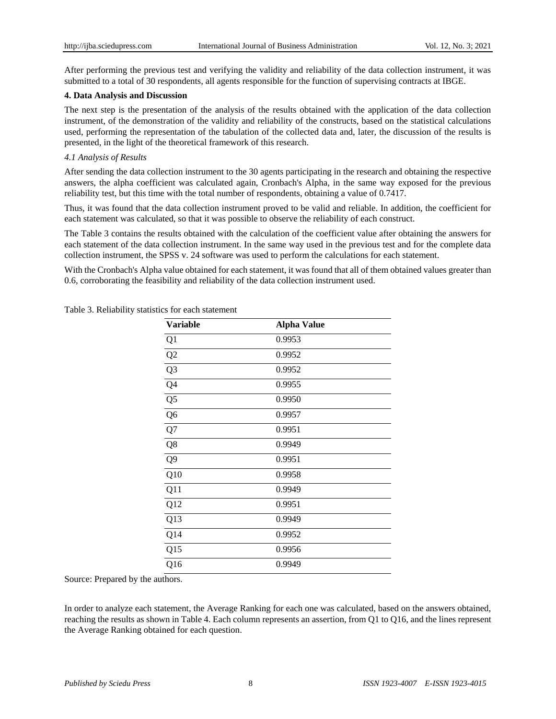After performing the previous test and verifying the validity and reliability of the data collection instrument, it was submitted to a total of 30 respondents, all agents responsible for the function of supervising contracts at IBGE.

## **4. Data Analysis and Discussion**

The next step is the presentation of the analysis of the results obtained with the application of the data collection instrument, of the demonstration of the validity and reliability of the constructs, based on the statistical calculations used, performing the representation of the tabulation of the collected data and, later, the discussion of the results is presented, in the light of the theoretical framework of this research.

# *4.1 Analysis of Results*

After sending the data collection instrument to the 30 agents participating in the research and obtaining the respective answers, the alpha coefficient was calculated again, Cronbach's Alpha, in the same way exposed for the previous reliability test, but this time with the total number of respondents, obtaining a value of 0.7417.

Thus, it was found that the data collection instrument proved to be valid and reliable. In addition, the coefficient for each statement was calculated, so that it was possible to observe the reliability of each construct.

The Table 3 contains the results obtained with the calculation of the coefficient value after obtaining the answers for each statement of the data collection instrument. In the same way used in the previous test and for the complete data collection instrument, the SPSS v. 24 software was used to perform the calculations for each statement.

With the Cronbach's Alpha value obtained for each statement, it was found that all of them obtained values greater than 0.6, corroborating the feasibility and reliability of the data collection instrument used.

| <b>Variable</b> | <b>Alpha Value</b> |  |
|-----------------|--------------------|--|
| Q1              | 0.9953             |  |
| Q2              | 0.9952             |  |
| Q <sub>3</sub>  | 0.9952             |  |
| Q4              | 0.9955             |  |
| Q <sub>5</sub>  | 0.9950             |  |
| Q <sub>6</sub>  | 0.9957             |  |
| Q7              | 0.9951             |  |
| Q8              | 0.9949             |  |
| Q <sub>9</sub>  | 0.9951             |  |
| Q10             | 0.9958             |  |
| Q11             | 0.9949             |  |
| Q12             | 0.9951             |  |
| Q13             | 0.9949             |  |
| Q14             | 0.9952             |  |
| Q15             | 0.9956             |  |
| Q16             | 0.9949             |  |

Table 3. Reliability statistics for each statement

Source: Prepared by the authors.

In order to analyze each statement, the Average Ranking for each one was calculated, based on the answers obtained, reaching the results as shown in Table 4. Each column represents an assertion, from Q1 to Q16, and the lines represent the Average Ranking obtained for each question.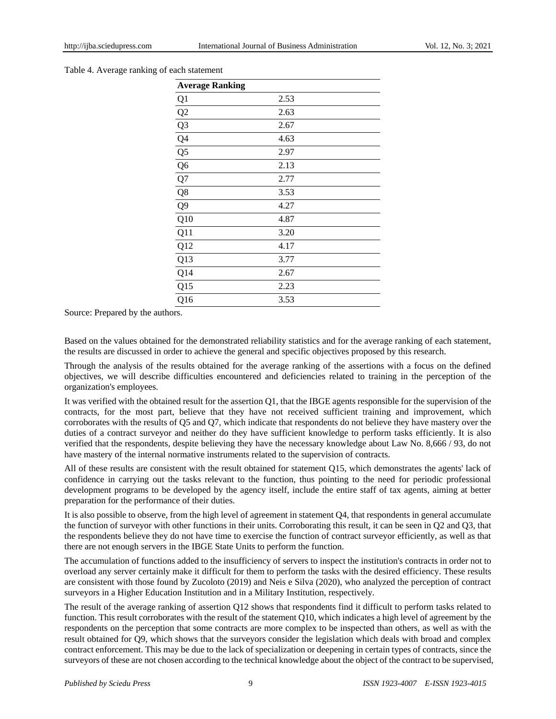#### Table 4. Average ranking of each statement

| <b>Average Ranking</b> |      |
|------------------------|------|
| Q1                     | 2.53 |
| Q2                     | 2.63 |
| Q <sub>3</sub>         | 2.67 |
| Q <sub>4</sub>         | 4.63 |
| Q <sub>5</sub>         | 2.97 |
| Q <sub>6</sub>         | 2.13 |
| Q7                     | 2.77 |
| Q8                     | 3.53 |
| Q <sub>9</sub>         | 4.27 |
| Q10                    | 4.87 |
| Q11                    | 3.20 |
| Q12                    | 4.17 |
| Q13                    | 3.77 |
| Q14                    | 2.67 |
| Q15                    | 2.23 |
| Q16                    | 3.53 |

Source: Prepared by the authors.

Based on the values obtained for the demonstrated reliability statistics and for the average ranking of each statement, the results are discussed in order to achieve the general and specific objectives proposed by this research.

Through the analysis of the results obtained for the average ranking of the assertions with a focus on the defined objectives, we will describe difficulties encountered and deficiencies related to training in the perception of the organization's employees.

It was verified with the obtained result for the assertion Q1, that the IBGE agents responsible for the supervision of the contracts, for the most part, believe that they have not received sufficient training and improvement, which corroborates with the results of Q5 and Q7, which indicate that respondents do not believe they have mastery over the duties of a contract surveyor and neither do they have sufficient knowledge to perform tasks efficiently. It is also verified that the respondents, despite believing they have the necessary knowledge about Law No. 8,666 / 93, do not have mastery of the internal normative instruments related to the supervision of contracts.

All of these results are consistent with the result obtained for statement Q15, which demonstrates the agents' lack of confidence in carrying out the tasks relevant to the function, thus pointing to the need for periodic professional development programs to be developed by the agency itself, include the entire staff of tax agents, aiming at better preparation for the performance of their duties.

It is also possible to observe, from the high level of agreement in statement Q4, that respondents in general accumulate the function of surveyor with other functions in their units. Corroborating this result, it can be seen in Q2 and Q3, that the respondents believe they do not have time to exercise the function of contract surveyor efficiently, as well as that there are not enough servers in the IBGE State Units to perform the function.

The accumulation of functions added to the insufficiency of servers to inspect the institution's contracts in order not to overload any server certainly make it difficult for them to perform the tasks with the desired efficiency. These results are consistent with those found by Zucoloto (2019) and Neis e Silva (2020), who analyzed the perception of contract surveyors in a Higher Education Institution and in a Military Institution, respectively.

The result of the average ranking of assertion Q12 shows that respondents find it difficult to perform tasks related to function. This result corroborates with the result of the statement Q10, which indicates a high level of agreement by the respondents on the perception that some contracts are more complex to be inspected than others, as well as with the result obtained for Q9, which shows that the surveyors consider the legislation which deals with broad and complex contract enforcement. This may be due to the lack of specialization or deepening in certain types of contracts, since the surveyors of these are not chosen according to the technical knowledge about the object of the contract to be supervised,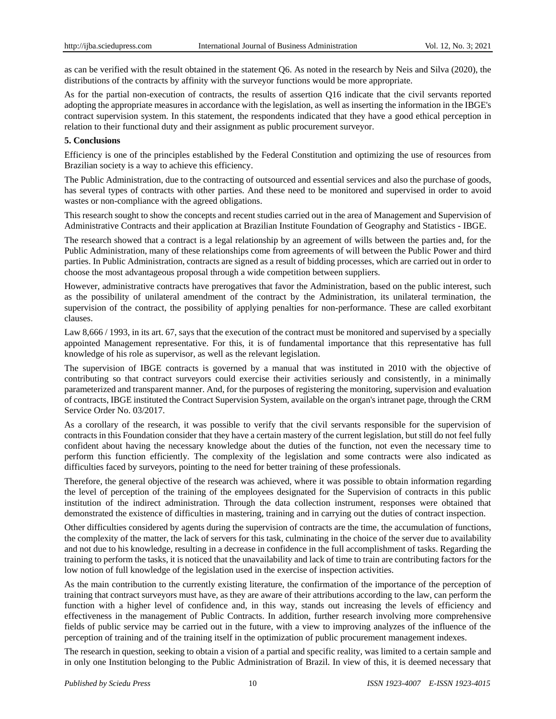as can be verified with the result obtained in the statement Q6. As noted in the research by Neis and Silva (2020), the distributions of the contracts by affinity with the surveyor functions would be more appropriate.

As for the partial non-execution of contracts, the results of assertion Q16 indicate that the civil servants reported adopting the appropriate measures in accordance with the legislation, as well as inserting the information in the IBGE's contract supervision system. In this statement, the respondents indicated that they have a good ethical perception in relation to their functional duty and their assignment as public procurement surveyor.

# **5. Conclusions**

Efficiency is one of the principles established by the Federal Constitution and optimizing the use of resources from Brazilian society is a way to achieve this efficiency.

The Public Administration, due to the contracting of outsourced and essential services and also the purchase of goods, has several types of contracts with other parties. And these need to be monitored and supervised in order to avoid wastes or non-compliance with the agreed obligations.

This research sought to show the concepts and recent studies carried out in the area of Management and Supervision of Administrative Contracts and their application at Brazilian Institute Foundation of Geography and Statistics - IBGE.

The research showed that a contract is a legal relationship by an agreement of wills between the parties and, for the Public Administration, many of these relationships come from agreements of will between the Public Power and third parties. In Public Administration, contracts are signed as a result of bidding processes, which are carried out in order to choose the most advantageous proposal through a wide competition between suppliers.

However, administrative contracts have prerogatives that favor the Administration, based on the public interest, such as the possibility of unilateral amendment of the contract by the Administration, its unilateral termination, the supervision of the contract, the possibility of applying penalties for non-performance. These are called exorbitant clauses.

Law 8,666 / 1993, in its art. 67, says that the execution of the contract must be monitored and supervised by a specially appointed Management representative. For this, it is of fundamental importance that this representative has full knowledge of his role as supervisor, as well as the relevant legislation.

The supervision of IBGE contracts is governed by a manual that was instituted in 2010 with the objective of contributing so that contract surveyors could exercise their activities seriously and consistently, in a minimally parameterized and transparent manner. And, for the purposes of registering the monitoring, supervision and evaluation of contracts, IBGE instituted the Contract Supervision System, available on the organ's intranet page, through the CRM Service Order No. 03/2017.

As a corollary of the research, it was possible to verify that the civil servants responsible for the supervision of contracts in this Foundation consider that they have a certain mastery of the current legislation, but still do not feel fully confident about having the necessary knowledge about the duties of the function, not even the necessary time to perform this function efficiently. The complexity of the legislation and some contracts were also indicated as difficulties faced by surveyors, pointing to the need for better training of these professionals.

Therefore, the general objective of the research was achieved, where it was possible to obtain information regarding the level of perception of the training of the employees designated for the Supervision of contracts in this public institution of the indirect administration. Through the data collection instrument, responses were obtained that demonstrated the existence of difficulties in mastering, training and in carrying out the duties of contract inspection.

Other difficulties considered by agents during the supervision of contracts are the time, the accumulation of functions, the complexity of the matter, the lack of servers for this task, culminating in the choice of the server due to availability and not due to his knowledge, resulting in a decrease in confidence in the full accomplishment of tasks. Regarding the training to perform the tasks, it is noticed that the unavailability and lack of time to train are contributing factors for the low notion of full knowledge of the legislation used in the exercise of inspection activities.

As the main contribution to the currently existing literature, the confirmation of the importance of the perception of training that contract surveyors must have, as they are aware of their attributions according to the law, can perform the function with a higher level of confidence and, in this way, stands out increasing the levels of efficiency and effectiveness in the management of Public Contracts. In addition, further research involving more comprehensive fields of public service may be carried out in the future, with a view to improving analyzes of the influence of the perception of training and of the training itself in the optimization of public procurement management indexes.

The research in question, seeking to obtain a vision of a partial and specific reality, was limited to a certain sample and in only one Institution belonging to the Public Administration of Brazil. In view of this, it is deemed necessary that